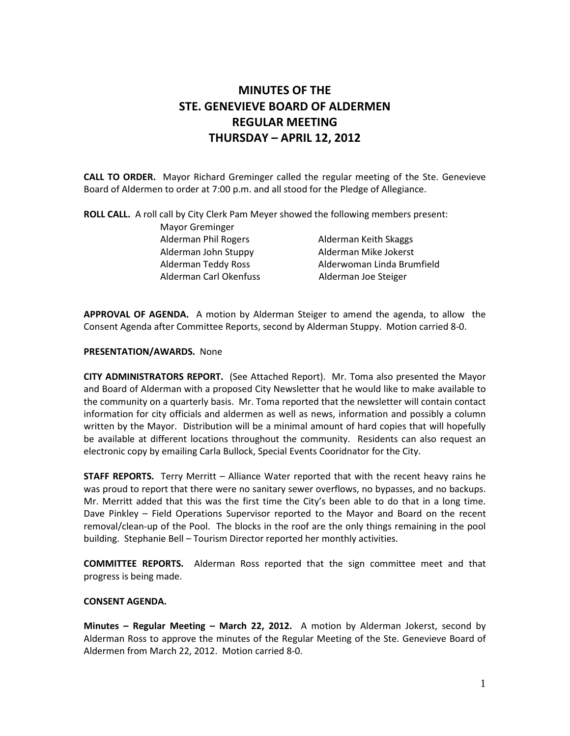# MINUTES OF THE STE. GENEVIEVE BOARD OF ALDERMEN REGULAR MEETING THURSDAY – APRIL 12, 2012

CALL TO ORDER. Mayor Richard Greminger called the regular meeting of the Ste. Genevieve Board of Aldermen to order at 7:00 p.m. and all stood for the Pledge of Allegiance.

ROLL CALL. A roll call by City Clerk Pam Meyer showed the following members present:

 Mayor Greminger Alderman Phil Rogers **Alderman Keith Skaggs**  Alderman John Stuppy Alderman Mike Jokerst Alderman Carl Okenfuss Alderman Joe Steiger

Alderman Teddy Ross Alderwoman Linda Brumfield

APPROVAL OF AGENDA. A motion by Alderman Steiger to amend the agenda, to allow the Consent Agenda after Committee Reports, second by Alderman Stuppy. Motion carried 8-0.

# PRESENTATION/AWARDS. None

CITY ADMINISTRATORS REPORT. (See Attached Report). Mr. Toma also presented the Mayor and Board of Alderman with a proposed City Newsletter that he would like to make available to the community on a quarterly basis. Mr. Toma reported that the newsletter will contain contact information for city officials and aldermen as well as news, information and possibly a column written by the Mayor. Distribution will be a minimal amount of hard copies that will hopefully be available at different locations throughout the community. Residents can also request an electronic copy by emailing Carla Bullock, Special Events Cooridnator for the City.

STAFF REPORTS. Terry Merritt – Alliance Water reported that with the recent heavy rains he was proud to report that there were no sanitary sewer overflows, no bypasses, and no backups. Mr. Merritt added that this was the first time the City's been able to do that in a long time. Dave Pinkley – Field Operations Supervisor reported to the Mayor and Board on the recent removal/clean-up of the Pool. The blocks in the roof are the only things remaining in the pool building. Stephanie Bell – Tourism Director reported her monthly activities.

COMMITTEE REPORTS. Alderman Ross reported that the sign committee meet and that progress is being made.

# CONSENT AGENDA.

Minutes - Regular Meeting - March 22, 2012. A motion by Alderman Jokerst, second by Alderman Ross to approve the minutes of the Regular Meeting of the Ste. Genevieve Board of Aldermen from March 22, 2012. Motion carried 8-0.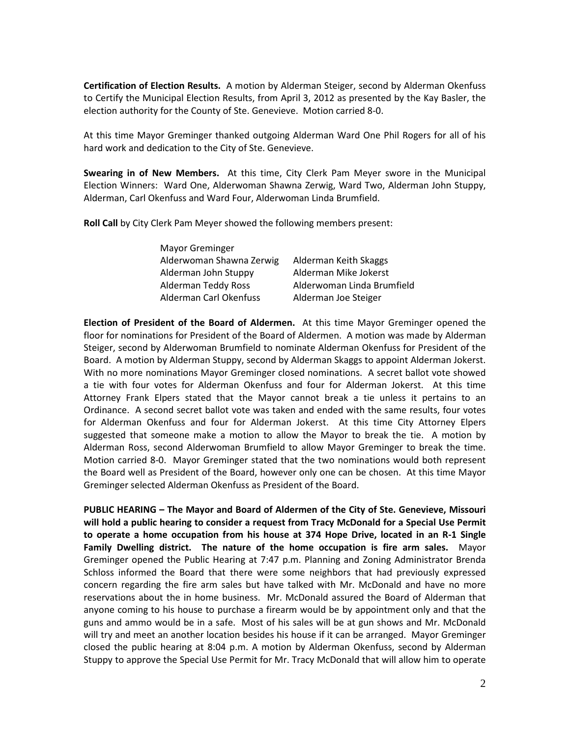Certification of Election Results. A motion by Alderman Steiger, second by Alderman Okenfuss to Certify the Municipal Election Results, from April 3, 2012 as presented by the Kay Basler, the election authority for the County of Ste. Genevieve. Motion carried 8-0.

At this time Mayor Greminger thanked outgoing Alderman Ward One Phil Rogers for all of his hard work and dedication to the City of Ste. Genevieve.

Swearing in of New Members. At this time, City Clerk Pam Meyer swore in the Municipal Election Winners: Ward One, Alderwoman Shawna Zerwig, Ward Two, Alderman John Stuppy, Alderman, Carl Okenfuss and Ward Four, Alderwoman Linda Brumfield.

Roll Call by City Clerk Pam Meyer showed the following members present:

| <b>Mayor Greminger</b>     |                            |
|----------------------------|----------------------------|
| Alderwoman Shawna Zerwig   | Alderman Keith Skaggs      |
| Alderman John Stuppy       | Alderman Mike Jokerst      |
| <b>Alderman Teddy Ross</b> | Alderwoman Linda Brumfield |
| Alderman Carl Okenfuss     | Alderman Joe Steiger       |

Election of President of the Board of Aldermen. At this time Mayor Greminger opened the floor for nominations for President of the Board of Aldermen. A motion was made by Alderman Steiger, second by Alderwoman Brumfield to nominate Alderman Okenfuss for President of the Board. A motion by Alderman Stuppy, second by Alderman Skaggs to appoint Alderman Jokerst. With no more nominations Mayor Greminger closed nominations. A secret ballot vote showed a tie with four votes for Alderman Okenfuss and four for Alderman Jokerst. At this time Attorney Frank Elpers stated that the Mayor cannot break a tie unless it pertains to an Ordinance. A second secret ballot vote was taken and ended with the same results, four votes for Alderman Okenfuss and four for Alderman Jokerst. At this time City Attorney Elpers suggested that someone make a motion to allow the Mayor to break the tie. A motion by Alderman Ross, second Alderwoman Brumfield to allow Mayor Greminger to break the time. Motion carried 8-0. Mayor Greminger stated that the two nominations would both represent the Board well as President of the Board, however only one can be chosen. At this time Mayor Greminger selected Alderman Okenfuss as President of the Board.

PUBLIC HEARING – The Mayor and Board of Aldermen of the City of Ste. Genevieve, Missouri will hold a public hearing to consider a request from Tracy McDonald for a Special Use Permit to operate a home occupation from his house at 374 Hope Drive, located in an R-1 Single Family Dwelling district. The nature of the home occupation is fire arm sales. Mayor Greminger opened the Public Hearing at 7:47 p.m. Planning and Zoning Administrator Brenda Schloss informed the Board that there were some neighbors that had previously expressed concern regarding the fire arm sales but have talked with Mr. McDonald and have no more reservations about the in home business. Mr. McDonald assured the Board of Alderman that anyone coming to his house to purchase a firearm would be by appointment only and that the guns and ammo would be in a safe. Most of his sales will be at gun shows and Mr. McDonald will try and meet an another location besides his house if it can be arranged. Mayor Greminger closed the public hearing at 8:04 p.m. A motion by Alderman Okenfuss, second by Alderman Stuppy to approve the Special Use Permit for Mr. Tracy McDonald that will allow him to operate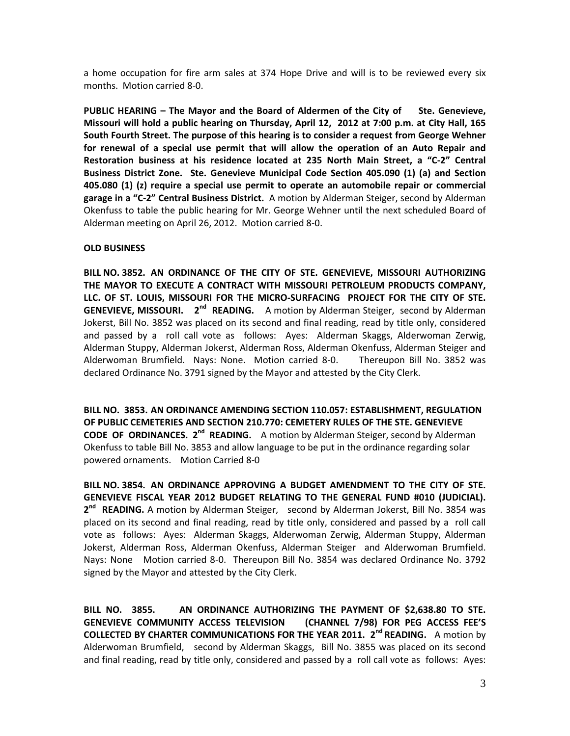a home occupation for fire arm sales at 374 Hope Drive and will is to be reviewed every six months. Motion carried 8-0.

PUBLIC HEARING – The Mayor and the Board of Aldermen of the City of Ste. Genevieve, Missouri will hold a public hearing on Thursday, April 12, 2012 at 7:00 p.m. at City Hall, 165 South Fourth Street. The purpose of this hearing is to consider a request from George Wehner for renewal of a special use permit that will allow the operation of an Auto Repair and Restoration business at his residence located at 235 North Main Street, a "C-2" Central Business District Zone. Ste. Genevieve Municipal Code Section 405.090 (1) (a) and Section 405.080 (1) (z) require a special use permit to operate an automobile repair or commercial garage in a "C-2" Central Business District. A motion by Alderman Steiger, second by Alderman Okenfuss to table the public hearing for Mr. George Wehner until the next scheduled Board of Alderman meeting on April 26, 2012. Motion carried 8-0.

#### OLD BUSINESS

BILL NO. 3852. AN ORDINANCE OF THE CITY OF STE. GENEVIEVE, MISSOURI AUTHORIZING THE MAYOR TO EXECUTE A CONTRACT WITH MISSOURI PETROLEUM PRODUCTS COMPANY, LLC. OF ST. LOUIS, MISSOURI FOR THE MICRO-SURFACING PROJECT FOR THE CITY OF STE. GENEVIEVE, MISSOURI. 2<sup>nd</sup> READING. A motion by Alderman Steiger, second by Alderman Jokerst, Bill No. 3852 was placed on its second and final reading, read by title only, considered and passed by a roll call vote as follows: Ayes: Alderman Skaggs, Alderwoman Zerwig, Alderman Stuppy, Alderman Jokerst, Alderman Ross, Alderman Okenfuss, Alderman Steiger and Alderwoman Brumfield. Nays: None. Motion carried 8-0. Thereupon Bill No. 3852 was declared Ordinance No. 3791 signed by the Mayor and attested by the City Clerk.

BILL NO. 3853. AN ORDINANCE AMENDING SECTION 110.057: ESTABLISHMENT, REGULATION OF PUBLIC CEMETERIES AND SECTION 210.770: CEMETERY RULES OF THE STE. GENEVIEVE CODE OF ORDINANCES. 2<sup>nd</sup> READING. A motion by Alderman Steiger, second by Alderman Okenfuss to table Bill No. 3853 and allow language to be put in the ordinance regarding solar powered ornaments. Motion Carried 8-0

BILL NO. 3854. AN ORDINANCE APPROVING A BUDGET AMENDMENT TO THE CITY OF STE. GENEVIEVE FISCAL YEAR 2012 BUDGET RELATING TO THE GENERAL FUND #010 (JUDICIAL). 2<sup>nd</sup> READING. A motion by Alderman Steiger, second by Alderman Jokerst, Bill No. 3854 was placed on its second and final reading, read by title only, considered and passed by a roll call vote as follows: Ayes: Alderman Skaggs, Alderwoman Zerwig, Alderman Stuppy, Alderman Jokerst, Alderman Ross, Alderman Okenfuss, Alderman Steiger and Alderwoman Brumfield. Nays: None Motion carried 8-0. Thereupon Bill No. 3854 was declared Ordinance No. 3792 signed by the Mayor and attested by the City Clerk.

BILL NO. 3855. AN ORDINANCE AUTHORIZING THE PAYMENT OF \$2,638.80 TO STE. GENEVIEVE COMMUNITY ACCESS TELEVISION (CHANNEL 7/98) FOR PEG ACCESS FEE'S COLLECTED BY CHARTER COMMUNICATIONS FOR THE YEAR 2011. 2<sup>nd</sup> READING. A motion by Alderwoman Brumfield, second by Alderman Skaggs, Bill No. 3855 was placed on its second and final reading, read by title only, considered and passed by a roll call vote as follows: Ayes: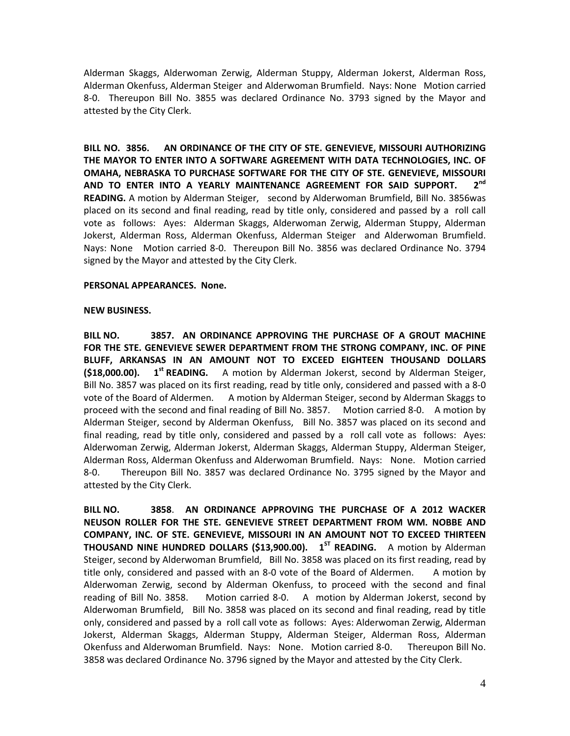Alderman Skaggs, Alderwoman Zerwig, Alderman Stuppy, Alderman Jokerst, Alderman Ross, Alderman Okenfuss, Alderman Steiger and Alderwoman Brumfield. Nays: None Motion carried 8-0. Thereupon Bill No. 3855 was declared Ordinance No. 3793 signed by the Mayor and attested by the City Clerk.

BILL NO. 3856. AN ORDINANCE OF THE CITY OF STE. GENEVIEVE, MISSOURI AUTHORIZING THE MAYOR TO ENTER INTO A SOFTWARE AGREEMENT WITH DATA TECHNOLOGIES, INC. OF OMAHA, NEBRASKA TO PURCHASE SOFTWARE FOR THE CITY OF STE. GENEVIEVE, MISSOURI AND TO ENTER INTO A YEARLY MAINTENANCE AGREEMENT FOR SAID SUPPORT.  $2<sup>nd</sup>$ READING. A motion by Alderman Steiger, second by Alderwoman Brumfield, Bill No. 3856was placed on its second and final reading, read by title only, considered and passed by a roll call vote as follows: Ayes: Alderman Skaggs, Alderwoman Zerwig, Alderman Stuppy, Alderman Jokerst, Alderman Ross, Alderman Okenfuss, Alderman Steiger and Alderwoman Brumfield. Nays: None Motion carried 8-0. Thereupon Bill No. 3856 was declared Ordinance No. 3794 signed by the Mayor and attested by the City Clerk.

#### PERSONAL APPEARANCES. None.

#### NEW BUSINESS.

BILL NO. 3857. AN ORDINANCE APPROVING THE PURCHASE OF A GROUT MACHINE FOR THE STE. GENEVIEVE SEWER DEPARTMENT FROM THE STRONG COMPANY, INC. OF PINE BLUFF, ARKANSAS IN AN AMOUNT NOT TO EXCEED EIGHTEEN THOUSAND DOLLARS  $(518,000.00)$ . 1<sup>st</sup> READING. A motion by Alderman Jokerst, second by Alderman Steiger, Bill No. 3857 was placed on its first reading, read by title only, considered and passed with a 8-0 vote of the Board of Aldermen. A motion by Alderman Steiger, second by Alderman Skaggs to proceed with the second and final reading of Bill No. 3857. Motion carried 8-0. A motion by Alderman Steiger, second by Alderman Okenfuss, Bill No. 3857 was placed on its second and final reading, read by title only, considered and passed by a roll call vote as follows: Ayes: Alderwoman Zerwig, Alderman Jokerst, Alderman Skaggs, Alderman Stuppy, Alderman Steiger, Alderman Ross, Alderman Okenfuss and Alderwoman Brumfield. Nays: None. Motion carried 8-0. Thereupon Bill No. 3857 was declared Ordinance No. 3795 signed by the Mayor and attested by the City Clerk.

BILL NO. 3858. AN ORDINANCE APPROVING THE PURCHASE OF A 2012 WACKER NEUSON ROLLER FOR THE STE. GENEVIEVE STREET DEPARTMENT FROM WM. NOBBE AND COMPANY, INC. OF STE. GENEVIEVE, MISSOURI IN AN AMOUNT NOT TO EXCEED THIRTEEN **THOUSAND NINE HUNDRED DOLLARS (\$13,900.00).**  $1^{ST}$  **READING.** A motion by Alderman Steiger, second by Alderwoman Brumfield, Bill No. 3858 was placed on its first reading, read by title only, considered and passed with an 8-0 vote of the Board of Aldermen. A motion by Alderwoman Zerwig, second by Alderman Okenfuss, to proceed with the second and final reading of Bill No. 3858. Motion carried 8-0. A motion by Alderman Jokerst, second by Alderwoman Brumfield, Bill No. 3858 was placed on its second and final reading, read by title only, considered and passed by a roll call vote as follows: Ayes: Alderwoman Zerwig, Alderman Jokerst, Alderman Skaggs, Alderman Stuppy, Alderman Steiger, Alderman Ross, Alderman Okenfuss and Alderwoman Brumfield. Nays: None. Motion carried 8-0. Thereupon Bill No. 3858 was declared Ordinance No. 3796 signed by the Mayor and attested by the City Clerk.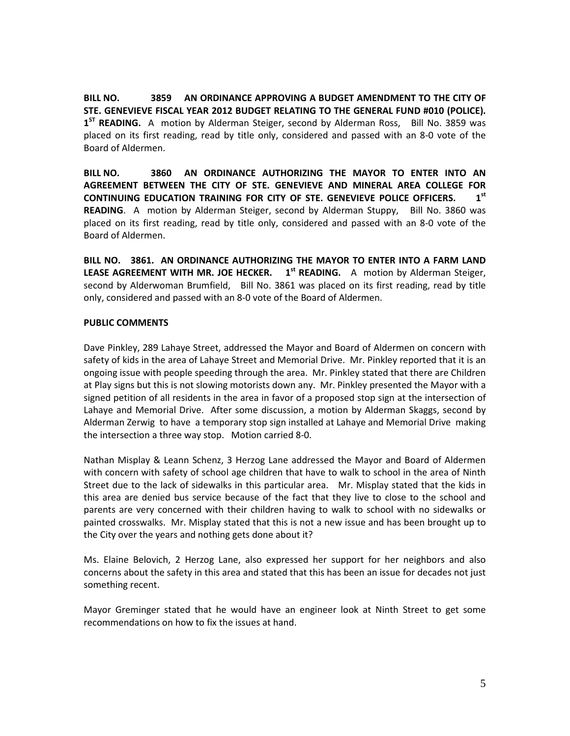BILL NO. 3859 AN ORDINANCE APPROVING A BUDGET AMENDMENT TO THE CITY OF STE. GENEVIEVE FISCAL YEAR 2012 BUDGET RELATING TO THE GENERAL FUND #010 (POLICE). 1<sup>ST</sup> READING. A motion by Alderman Steiger, second by Alderman Ross, Bill No. 3859 was placed on its first reading, read by title only, considered and passed with an 8-0 vote of the Board of Aldermen.

BILL NO. 3860 AN ORDINANCE AUTHORIZING THE MAYOR TO ENTER INTO AN AGREEMENT BETWEEN THE CITY OF STE. GENEVIEVE AND MINERAL AREA COLLEGE FOR CONTINUING EDUCATION TRAINING FOR CITY OF STE. GENEVIEVE POLICE OFFICERS.  $1^{st}$ READING. A motion by Alderman Steiger, second by Alderman Stuppy, Bill No. 3860 was placed on its first reading, read by title only, considered and passed with an 8-0 vote of the Board of Aldermen.

BILL NO. 3861. AN ORDINANCE AUTHORIZING THE MAYOR TO ENTER INTO A FARM LAND LEASE AGREEMENT WITH MR. JOE HECKER. 1<sup>st</sup> READING. A motion by Alderman Steiger. second by Alderwoman Brumfield, Bill No. 3861 was placed on its first reading, read by title only, considered and passed with an 8-0 vote of the Board of Aldermen.

# PUBLIC COMMENTS

Dave Pinkley, 289 Lahaye Street, addressed the Mayor and Board of Aldermen on concern with safety of kids in the area of Lahaye Street and Memorial Drive. Mr. Pinkley reported that it is an ongoing issue with people speeding through the area. Mr. Pinkley stated that there are Children at Play signs but this is not slowing motorists down any. Mr. Pinkley presented the Mayor with a signed petition of all residents in the area in favor of a proposed stop sign at the intersection of Lahaye and Memorial Drive. After some discussion, a motion by Alderman Skaggs, second by Alderman Zerwig to have a temporary stop sign installed at Lahaye and Memorial Drive making the intersection a three way stop. Motion carried 8-0.

Nathan Misplay & Leann Schenz, 3 Herzog Lane addressed the Mayor and Board of Aldermen with concern with safety of school age children that have to walk to school in the area of Ninth Street due to the lack of sidewalks in this particular area. Mr. Misplay stated that the kids in this area are denied bus service because of the fact that they live to close to the school and parents are very concerned with their children having to walk to school with no sidewalks or painted crosswalks. Mr. Misplay stated that this is not a new issue and has been brought up to the City over the years and nothing gets done about it?

Ms. Elaine Belovich, 2 Herzog Lane, also expressed her support for her neighbors and also concerns about the safety in this area and stated that this has been an issue for decades not just something recent.

Mayor Greminger stated that he would have an engineer look at Ninth Street to get some recommendations on how to fix the issues at hand.